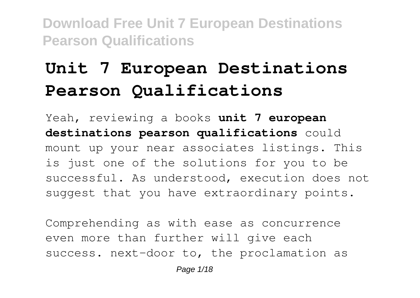# **Unit 7 European Destinations Pearson Qualifications**

Yeah, reviewing a books **unit 7 european destinations pearson qualifications** could mount up your near associates listings. This is just one of the solutions for you to be successful. As understood, execution does not suggest that you have extraordinary points.

Comprehending as with ease as concurrence even more than further will give each success. next-door to, the proclamation as

Page  $1/18$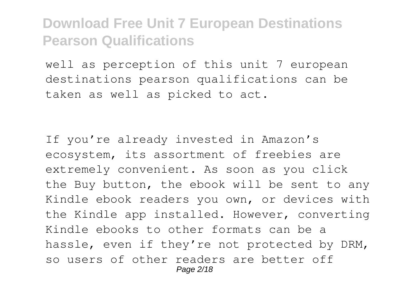well as perception of this unit 7 european destinations pearson qualifications can be taken as well as picked to act.

If you're already invested in Amazon's ecosystem, its assortment of freebies are extremely convenient. As soon as you click the Buy button, the ebook will be sent to any Kindle ebook readers you own, or devices with the Kindle app installed. However, converting Kindle ebooks to other formats can be a hassle, even if they're not protected by DRM, so users of other readers are better off Page 2/18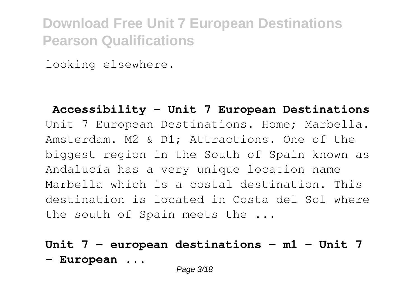looking elsewhere.

**Accessibility - Unit 7 European Destinations** Unit 7 European Destinations. Home; Marbella. Amsterdam. M2 & D1; Attractions. One of the biggest region in the South of Spain known as Andalucía has a very unique location name Marbella which is a costal destination. This destination is located in Costa del Sol where the south of Spain meets the ...

### **Unit 7 - european destinations - m1 - Unit 7 - European ...**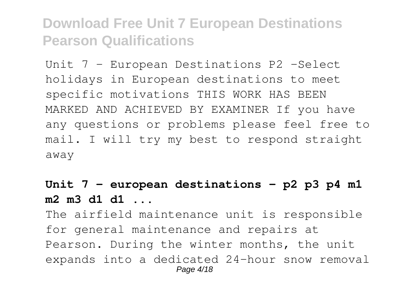Unit 7 - European Destinations P2 -Select holidays in European destinations to meet specific motivations THIS WORK HAS BEEN MARKED AND ACHIEVED BY EXAMINER If you have any questions or problems please feel free to mail. I will try my best to respond straight away

### **Unit 7 - european destinations - p2 p3 p4 m1 m2 m3 d1 d1 ...**

The airfield maintenance unit is responsible for general maintenance and repairs at Pearson. During the winter months, the unit expands into a dedicated 24-hour snow removal Page 4/18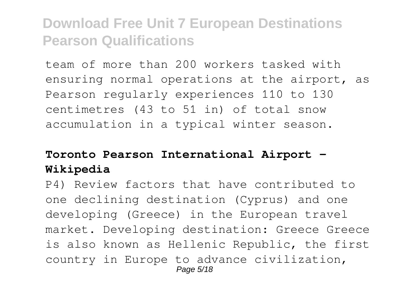team of more than 200 workers tasked with ensuring normal operations at the airport, as Pearson regularly experiences 110 to 130 centimetres (43 to 51 in) of total snow accumulation in a typical winter season.

### **Toronto Pearson International Airport - Wikipedia**

P4) Review factors that have contributed to one declining destination (Cyprus) and one developing (Greece) in the European travel market. Developing destination: Greece Greece is also known as Hellenic Republic, the first country in Europe to advance civilization, Page 5/18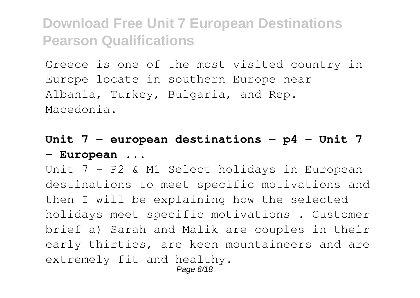Greece is one of the most visited country in Europe locate in southern Europe near Albania, Turkey, Bulgaria, and Rep. Macedonia.

### **Unit 7 - european destinations - p4 - Unit 7 - European ...**

Unit 7 - P2 & M1 Select holidays in European destinations to meet specific motivations and then I will be explaining how the selected holidays meet specific motivations . Customer brief a) Sarah and Malik are couples in their early thirties, are keen mountaineers and are extremely fit and healthy. Page 6/18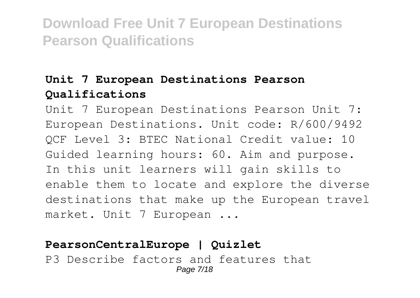### **Unit 7 European Destinations Pearson Qualifications**

Unit 7 European Destinations Pearson Unit 7: European Destinations. Unit code: R/600/9492 QCF Level 3: BTEC National Credit value: 10 Guided learning hours: 60. Aim and purpose. In this unit learners will gain skills to enable them to locate and explore the diverse destinations that make up the European travel market. Unit 7 European ...

### **PearsonCentralEurope | Quizlet**

P3 Describe factors and features that Page 7/18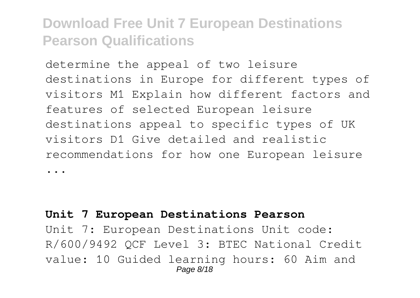determine the appeal of two leisure destinations in Europe for different types of visitors M1 Explain how different factors and features of selected European leisure destinations appeal to specific types of UK visitors D1 Give detailed and realistic recommendations for how one European leisure ...

#### **Unit 7 European Destinations Pearson**

Unit 7: European Destinations Unit code: R/600/9492 QCF Level 3: BTEC National Credit value: 10 Guided learning hours: 60 Aim and Page 8/18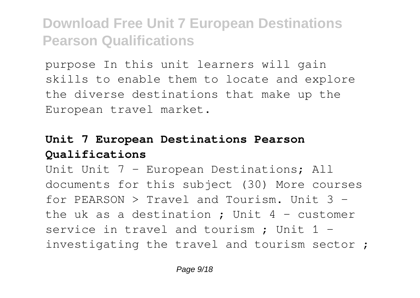purpose In this unit learners will gain skills to enable them to locate and explore the diverse destinations that make up the European travel market.

### **Unit 7 European Destinations Pearson Qualifications**

Unit Unit 7 - European Destinations; All documents for this subject (30) More courses for PEARSON  $>$  Travel and Tourism. Unit  $3$ the uk as a destination : Unit  $4$  - customer service in travel and tourism ; Unit 1 investigating the travel and tourism sector ;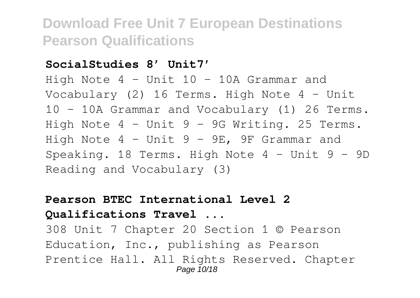#### **SocialStudies 8' Unit7'**

High Note 4 – Unit 10 – 10A Grammar and Vocabulary (2) 16 Terms. High Note 4 – Unit 10 – 10A Grammar and Vocabulary (1) 26 Terms. High Note 4 – Unit 9 – 9G Writing. 25 Terms. High Note 4 – Unit 9 – 9E, 9F Grammar and Speaking. 18 Terms. High Note 4 – Unit 9 – 9D Reading and Vocabulary (3)

### **Pearson BTEC International Level 2 Qualifications Travel ...**

308 Unit 7 Chapter 20 Section 1 © Pearson Education, Inc., publishing as Pearson Prentice Hall. All Rights Reserved. Chapter Page 10/18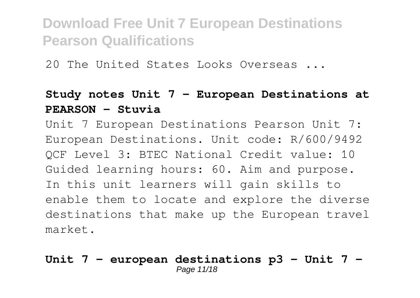20 The United States Looks Overseas ...

### **Study notes Unit 7 - European Destinations at PEARSON - Stuvia**

Unit 7 European Destinations Pearson Unit 7: European Destinations. Unit code: R/600/9492 QCF Level 3: BTEC National Credit value: 10 Guided learning hours: 60. Aim and purpose. In this unit learners will gain skills to enable them to locate and explore the diverse destinations that make up the European travel market.

#### **Unit 7 - european destinations p3 - Unit 7 -** Page 11/18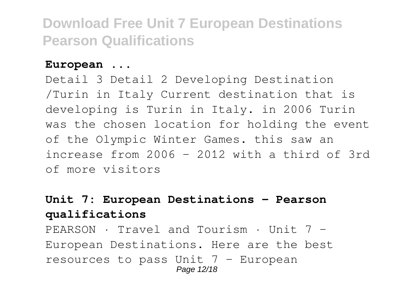#### **European ...**

Detail 3 Detail 2 Developing Destination /Turin in Italy Current destination that is developing is Turin in Italy. in 2006 Turin was the chosen location for holding the event of the Olympic Winter Games. this saw an increase from 2006 - 2012 with a third of 3rd of more visitors

### **Unit 7: European Destinations - Pearson qualifications**

PEARSON · Travel and Tourism · Unit 7 - European Destinations. Here are the best resources to pass Unit  $7$  - European Page 12/18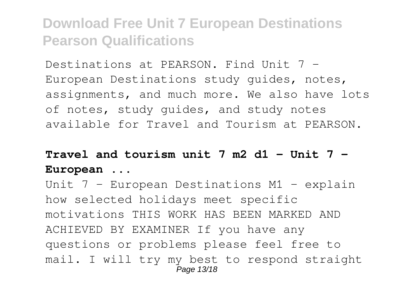Destinations at PEARSON. Find Unit 7 - European Destinations study guides, notes, assignments, and much more. We also have lots of notes, study guides, and study notes available for Travel and Tourism at PEARSON.

## **Travel and tourism unit 7 m2 d1 - Unit 7 - European ...**

Unit 7 - European Destinations M1 - explain how selected holidays meet specific motivations THIS WORK HAS BEEN MARKED AND ACHIEVED BY EXAMINER If you have any questions or problems please feel free to mail. I will try my best to respond straight Page 13/18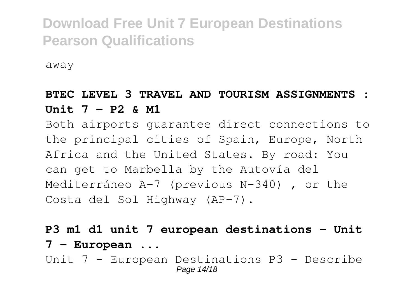away

### **BTEC LEVEL 3 TRAVEL AND TOURISM ASSIGNMENTS : Unit 7 - P2 & M1**

Both airports guarantee direct connections to the principal cities of Spain, Europe, North Africa and the United States. By road: You can get to Marbella by the Autovía del Mediterráneo A-7 (previous N-340) , or the Costa del Sol Highway (AP-7).

**P3 m1 d1 unit 7 european destinations - Unit 7 - European ...** Unit 7 - European Destinations P3 - Describe Page 14/18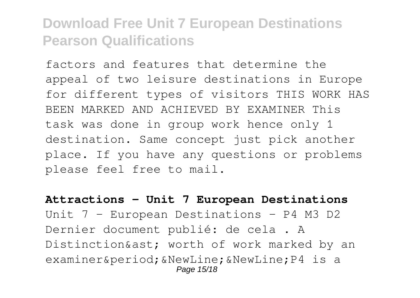factors and features that determine the appeal of two leisure destinations in Europe for different types of visitors THIS WORK HAS BEEN MARKED AND ACHIEVED BY EXAMINER This task was done in group work hence only 1 destination. Same concept just pick another place. If you have any questions or problems please feel free to mail.

**Attractions - Unit 7 European Destinations** Unit 7 - European Destinations - P4 M3 D2 Dernier document publié: de cela . A Distinction& ast; worth of work marked by an examiner. & NewLine; & NewLine; P4 is a Page 15/18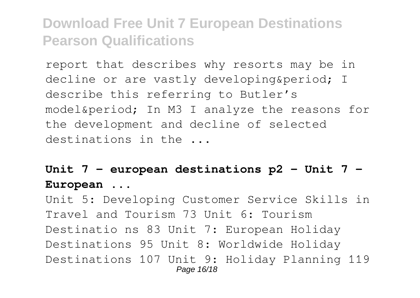report that describes why resorts may be in decline or are vastly developing&period: I describe this referring to Butler's model. In M3 I analyze the reasons for the development and decline of selected destinations in the ...

### **Unit 7 - european destinations p2 - Unit 7 - European ...**

Unit 5: Developing Customer Service Skills in Travel and Tourism 73 Unit 6: Tourism Destinatio ns 83 Unit 7: European Holiday Destinations 95 Unit 8: Worldwide Holiday Destinations 107 Unit 9: Holiday Planning 119 Page 16/18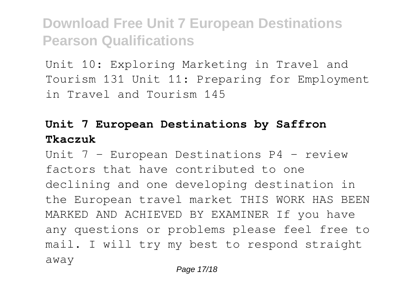Unit 10: Exploring Marketing in Travel and Tourism 131 Unit 11: Preparing for Employment in Travel and Tourism 145

### **Unit 7 European Destinations by Saffron Tkaczuk**

Unit 7 - European Destinations P4 - review factors that have contributed to one declining and one developing destination in the European travel market THIS WORK HAS BEEN MARKED AND ACHIEVED BY EXAMINER If you have any questions or problems please feel free to mail. I will try my best to respond straight away